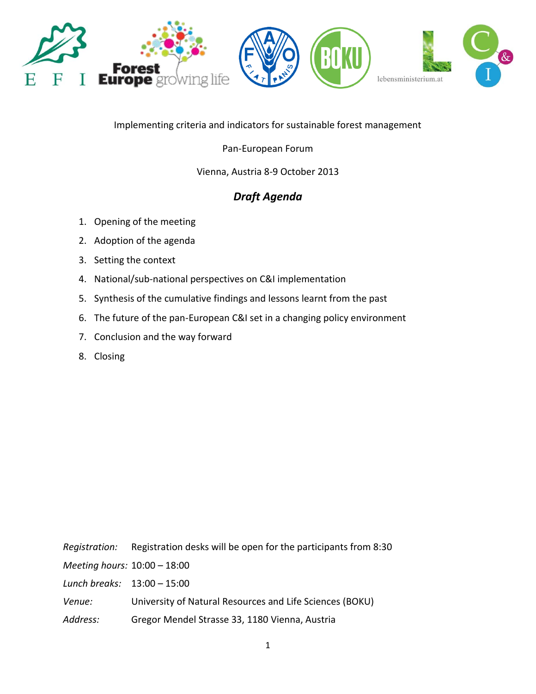

Implementing criteria and indicators for sustainable forest management

# Pan-European Forum

# Vienna, Austria 8-9 October 2013

# *Draft Agenda*

- 1. Opening of the meeting
- 2. Adoption of the agenda
- 3. Setting the context
- 4. National/sub-national perspectives on C&I implementation
- 5. Synthesis of the cumulative findings and lessons learnt from the past
- 6. The future of the pan-European C&I set in a changing policy environment
- 7. Conclusion and the way forward
- 8. Closing

| Registration:                 | Registration desks will be open for the participants from 8:30 |
|-------------------------------|----------------------------------------------------------------|
| Meeting hours: 10:00 - 18:00  |                                                                |
| Lunch breaks: $13:00 - 15:00$ |                                                                |
| Venue:                        | University of Natural Resources and Life Sciences (BOKU)       |
| Address:                      | Gregor Mendel Strasse 33, 1180 Vienna, Austria                 |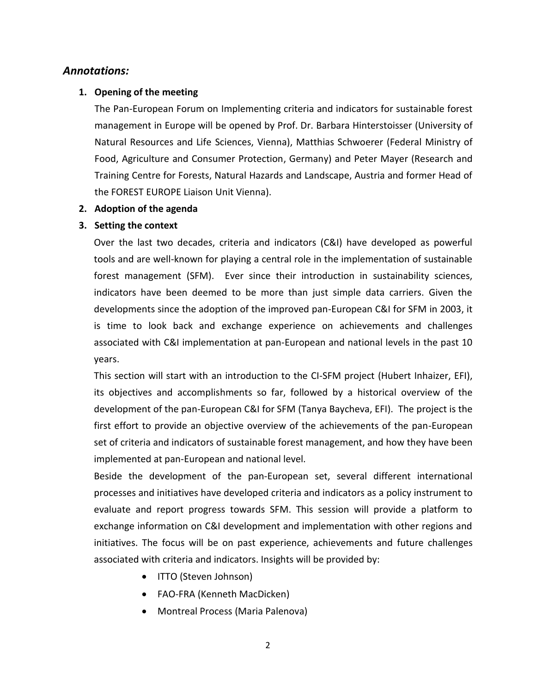# *Annotations:*

## **1. Opening of the meeting**

The Pan-European Forum on Implementing criteria and indicators for sustainable forest management in Europe will be opened by Prof. Dr. Barbara Hinterstoisser (University of Natural Resources and Life Sciences, Vienna), Matthias Schwoerer (Federal Ministry of Food, Agriculture and Consumer Protection, Germany) and Peter Mayer (Research and Training Centre for Forests, Natural Hazards and Landscape, Austria and former Head of the FOREST EUROPE Liaison Unit Vienna).

#### **2. Adoption of the agenda**

#### **3. Setting the context**

Over the last two decades, criteria and indicators (C&I) have developed as powerful tools and are well-known for playing a central role in the implementation of sustainable forest management (SFM). Ever since their introduction in sustainability sciences, indicators have been deemed to be more than just simple data carriers. Given the developments since the adoption of the improved pan-European C&I for SFM in 2003, it is time to look back and exchange experience on achievements and challenges associated with C&I implementation at pan-European and national levels in the past 10 years.

This section will start with an introduction to the CI-SFM project (Hubert Inhaizer, EFI), its objectives and accomplishments so far, followed by a historical overview of the development of the pan-European C&I for SFM (Tanya Baycheva, EFI). The project is the first effort to provide an objective overview of the achievements of the pan-European set of criteria and indicators of sustainable forest management, and how they have been implemented at pan-European and national level.

Beside the development of the pan-European set, several different international processes and initiatives have developed criteria and indicators as a policy instrument to evaluate and report progress towards SFM. This session will provide a platform to exchange information on C&I development and implementation with other regions and initiatives. The focus will be on past experience, achievements and future challenges associated with criteria and indicators. Insights will be provided by:

- ITTO (Steven Johnson)
- FAO-FRA (Kenneth MacDicken)
- Montreal Process (Maria Palenova)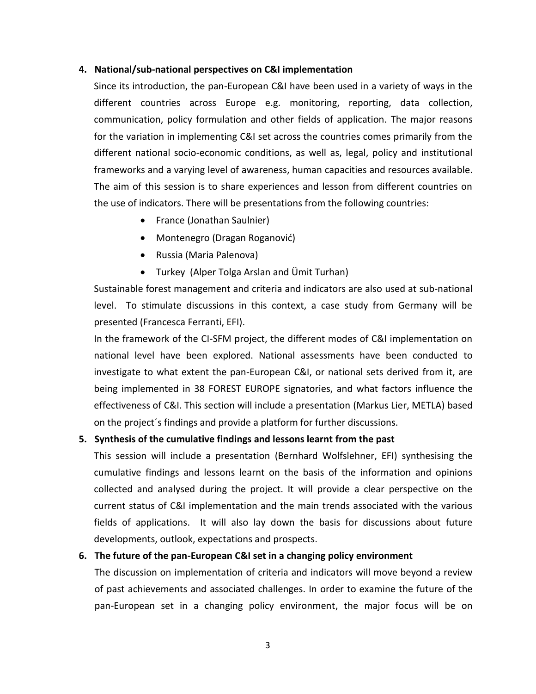#### **4. National/sub-national perspectives on C&I implementation**

Since its introduction, the pan-European C&I have been used in a variety of ways in the different countries across Europe e.g. monitoring, reporting, data collection, communication, policy formulation and other fields of application. The major reasons for the variation in implementing C&I set across the countries comes primarily from the different national socio-economic conditions, as well as, legal, policy and institutional frameworks and a varying level of awareness, human capacities and resources available. The aim of this session is to share experiences and lesson from different countries on the use of indicators. There will be presentations from the following countries:

- France (Jonathan Saulnier)
- Montenegro (Dragan Roganović)
- Russia (Maria Palenova)
- Turkey (Alper Tolga Arslan and Ümit Turhan)

Sustainable forest management and criteria and indicators are also used at sub-national level. To stimulate discussions in this context, a case study from Germany will be presented (Francesca Ferranti, EFI).

In the framework of the CI-SFM project, the different modes of C&I implementation on national level have been explored. National assessments have been conducted to investigate to what extent the pan-European C&I, or national sets derived from it, are being implemented in 38 FOREST EUROPE signatories, and what factors influence the effectiveness of C&I. This section will include a presentation (Markus Lier, METLA) based on the project´s findings and provide a platform for further discussions.

## **5. Synthesis of the cumulative findings and lessons learnt from the past**

This session will include a presentation (Bernhard Wolfslehner, EFI) synthesising the cumulative findings and lessons learnt on the basis of the information and opinions collected and analysed during the project. It will provide a clear perspective on the current status of C&I implementation and the main trends associated with the various fields of applications. It will also lay down the basis for discussions about future developments, outlook, expectations and prospects.

## **6. The future of the pan-European C&I set in a changing policy environment**

The discussion on implementation of criteria and indicators will move beyond a review of past achievements and associated challenges. In order to examine the future of the pan-European set in a changing policy environment, the major focus will be on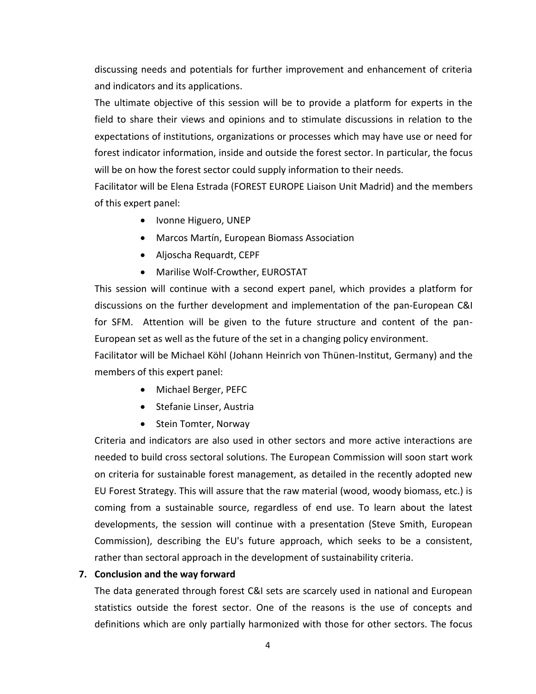discussing needs and potentials for further improvement and enhancement of criteria and indicators and its applications.

The ultimate objective of this session will be to provide a platform for experts in the field to share their views and opinions and to stimulate discussions in relation to the expectations of institutions, organizations or processes which may have use or need for forest indicator information, inside and outside the forest sector. In particular, the focus will be on how the forest sector could supply information to their needs.

Facilitator will be Elena Estrada (FOREST EUROPE Liaison Unit Madrid) and the members of this expert panel:

- Ivonne Higuero, UNEP
- Marcos Martín, European Biomass Association
- Aljoscha Requardt, CEPF
- Marilise Wolf-Crowther, EUROSTAT

This session will continue with a second expert panel, which provides a platform for discussions on the further development and implementation of the pan-European C&I for SFM. Attention will be given to the future structure and content of the pan-European set as well as the future of the set in a changing policy environment.

Facilitator will be Michael Köhl (Johann Heinrich von Thünen-Institut, Germany) and the members of this expert panel:

- Michael Berger, PEFC
- Stefanie Linser, Austria
- Stein Tomter, Norway

Criteria and indicators are also used in other sectors and more active interactions are needed to build cross sectoral solutions. The European Commission will soon start work on criteria for sustainable forest management, as detailed in the recently adopted new EU Forest Strategy. This will assure that the raw material (wood, woody biomass, etc.) is coming from a sustainable source, regardless of end use. To learn about the latest developments, the session will continue with a presentation (Steve Smith, European Commission), describing the EU's future approach, which seeks to be a consistent, rather than sectoral approach in the development of sustainability criteria.

## **7. Conclusion and the way forward**

The data generated through forest C&I sets are scarcely used in national and European statistics outside the forest sector. One of the reasons is the use of concepts and definitions which are only partially harmonized with those for other sectors. The focus